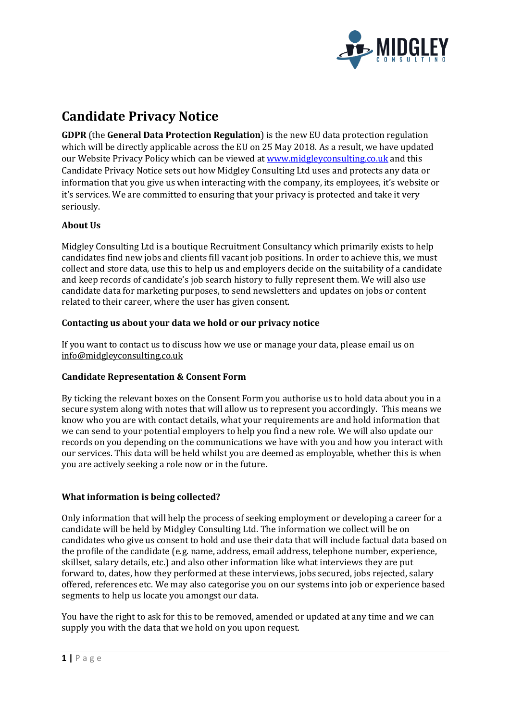

# **Candidate Privacy Notice**

**GDPR** (the **General Data Protection Regulation**) is the new EU data protection regulation which will be directly applicable across the EU on 25 May 2018. As a result, we have updated our Website Privacy Policy which can be viewed a[t www.midgleyconsulting.co.uk](http://www.midgleyconsulting.co.uk/) and this Candidate Privacy Notice sets out how Midgley Consulting Ltd uses and protects any data or information that you give us when interacting with the company, its employees, it's website or it's services. We are committed to ensuring that your privacy is protected and take it very seriously.

# **About Us**

Midgley Consulting Ltd is a boutique Recruitment Consultancy which primarily exists to help candidates find new jobs and clients fill vacant job positions. In order to achieve this, we must collect and store data, use this to help us and employers decide on the suitability of a candidate and keep records of candidate's job search history to fully represent them. We will also use candidate data for marketing purposes, to send newsletters and updates on jobs or content related to their career, where the user has given consent.

# **Contacting us about your data we hold or our privacy notice**

If you want to contact us to discuss how we use or manage your data, please email us on info@midgleyconsulting.co.uk

# **Candidate Representation & Consent Form**

By ticking the relevant boxes on the Consent Form you authorise us to hold data about you in a secure system along with notes that will allow us to represent you accordingly. This means we know who you are with contact details, what your requirements are and hold information that we can send to your potential employers to help you find a new role. We will also update our records on you depending on the communications we have with you and how you interact with our services. This data will be held whilst you are deemed as employable, whether this is when you are actively seeking a role now or in the future.

# **What information is being collected?**

Only information that will help the process of seeking employment or developing a career for a candidate will be held by Midgley Consulting Ltd. The information we collect will be on candidates who give us consent to hold and use their data that will include factual data based on the profile of the candidate (e.g. name, address, email address, telephone number, experience, skillset, salary details, etc.) and also other information like what interviews they are put forward to, dates, how they performed at these interviews, jobs secured, jobs rejected, salary offered, references etc. We may also categorise you on our systems into job or experience based segments to help us locate you amongst our data.

You have the right to ask for this to be removed, amended or updated at any time and we can supply you with the data that we hold on you upon request.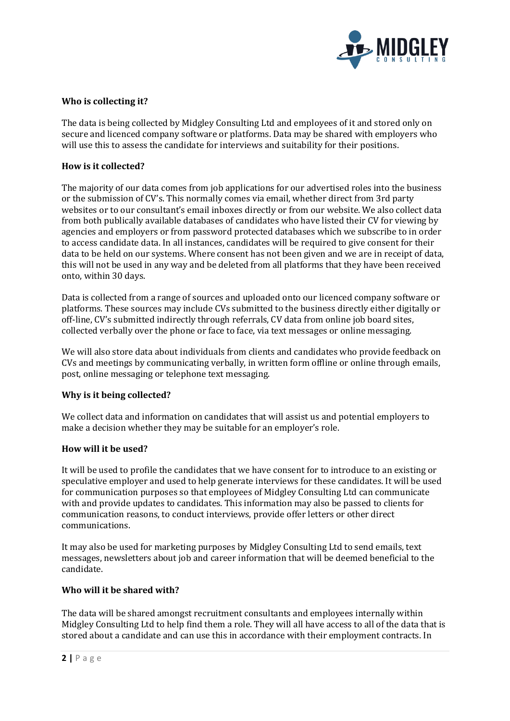

### **Who is collecting it?**

The data is being collected by Midgley Consulting Ltd and employees of it and stored only on secure and licenced company software or platforms. Data may be shared with employers who will use this to assess the candidate for interviews and suitability for their positions.

#### **How is it collected?**

The majority of our data comes from job applications for our advertised roles into the business or the submission of CV's. This normally comes via email, whether direct from 3rd party websites or to our consultant's email inboxes directly or from our website. We also collect data from both publically available databases of candidates who have listed their CV for viewing by agencies and employers or from password protected databases which we subscribe to in order to access candidate data. In all instances, candidates will be required to give consent for their data to be held on our systems. Where consent has not been given and we are in receipt of data, this will not be used in any way and be deleted from all platforms that they have been received onto, within 30 days.

Data is collected from a range of sources and uploaded onto our licenced company software or platforms. These sources may include CVs submitted to the business directly either digitally or off-line, CV's submitted indirectly through referrals, CV data from online job board sites, collected verbally over the phone or face to face, via text messages or online messaging.

We will also store data about individuals from clients and candidates who provide feedback on CVs and meetings by communicating verbally, in written form offline or online through emails, post, online messaging or telephone text messaging.

#### **Why is it being collected?**

We collect data and information on candidates that will assist us and potential employers to make a decision whether they may be suitable for an employer's role.

#### **How will it be used?**

It will be used to profile the candidates that we have consent for to introduce to an existing or speculative employer and used to help generate interviews for these candidates. It will be used for communication purposes so that employees of Midgley Consulting Ltd can communicate with and provide updates to candidates. This information may also be passed to clients for communication reasons, to conduct interviews, provide offer letters or other direct communications.

It may also be used for marketing purposes by Midgley Consulting Ltd to send emails, text messages, newsletters about job and career information that will be deemed beneficial to the candidate.

#### **Who will it be shared with?**

The data will be shared amongst recruitment consultants and employees internally within Midgley Consulting Ltd to help find them a role. They will all have access to all of the data that is stored about a candidate and can use this in accordance with their employment contracts. In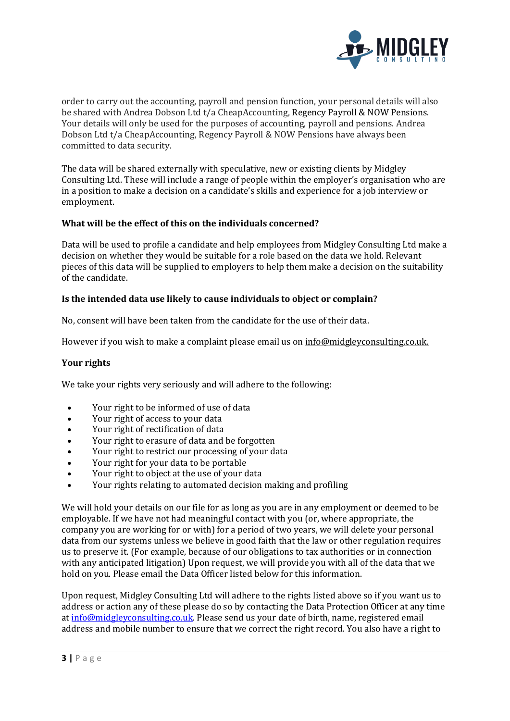

order to carry out the accounting, payroll and pension function, your personal details will also be shared with Andrea Dobson Ltd t/a CheapAccounting, Regency Payroll & NOW Pensions. Your details will only be used for the purposes of accounting, payroll and pensions. Andrea Dobson Ltd t/a CheapAccounting, Regency Payroll & NOW Pensions have always been committed to data security.

The data will be shared externally with speculative, new or existing clients by Midgley Consulting Ltd. These will include a range of people within the employer's organisation who are in a position to make a decision on a candidate's skills and experience for a job interview or employment.

# **What will be the effect of this on the individuals concerned?**

Data will be used to profile a candidate and help employees from Midgley Consulting Ltd make a decision on whether they would be suitable for a role based on the data we hold. Relevant pieces of this data will be supplied to employers to help them make a decision on the suitability of the candidate.

# **Is the intended data use likely to cause individuals to object or complain?**

No, consent will have been taken from the candidate for the use of their data.

However if you wish to make a complaint please email us o[n info@midgleyconsulting.co.uk.](mailto:info@midgleyconsulting.co.uk)

# **Your rights**

We take your rights very seriously and will adhere to the following:

- Your right to be informed of use of data
- Your right of access to your data
- Your right of rectification of data
- Your right to erasure of data and be forgotten
- Your right to restrict our processing of your data
- Your right for your data to be portable
- Your right to object at the use of your data
- Your rights relating to automated decision making and profiling

We will hold your details on our file for as long as you are in any employment or deemed to be employable. If we have not had meaningful contact with you (or, where appropriate, the company you are working for or with) for a period of two years, we will delete your personal data from our systems unless we believe in good faith that the law or other regulation requires us to preserve it. (For example, because of our obligations to tax authorities or in connection with any anticipated litigation) Upon request, we will provide you with all of the data that we hold on you. Please email the Data Officer listed below for this information.

Upon request, Midgley Consulting Ltd will adhere to the rights listed above so if you want us to address or action any of these please do so by contacting the Data Protection Officer at any time a[t info@midgleyconsulting.co.uk.](mailto:info@midgleyconsulting.co.uk) Please send us your date of birth, name, registered email address and mobile number to ensure that we correct the right record. You also have a right to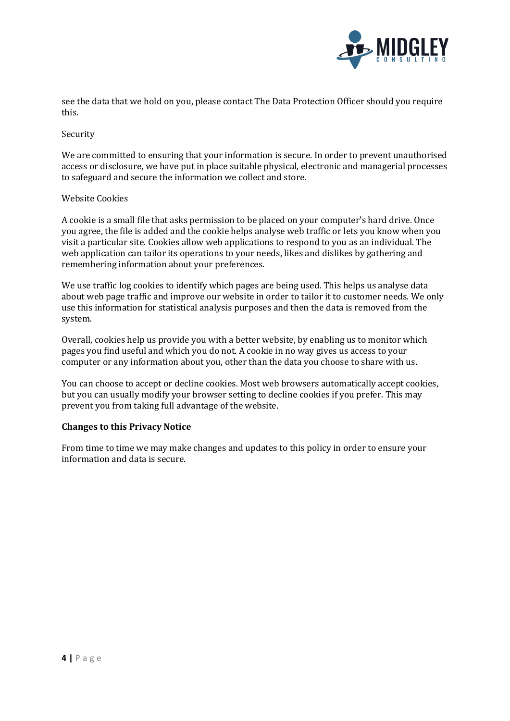

see the data that we hold on you, please contact The Data Protection Officer should you require this.

#### Security

We are committed to ensuring that your information is secure. In order to prevent unauthorised access or disclosure, we have put in place suitable physical, electronic and managerial processes to safeguard and secure the information we collect and store.

#### Website Cookies

A cookie is a small file that asks permission to be placed on your computer's hard drive. Once you agree, the file is added and the cookie helps analyse web traffic or lets you know when you visit a particular site. Cookies allow web applications to respond to you as an individual. The web application can tailor its operations to your needs, likes and dislikes by gathering and remembering information about your preferences.

We use traffic log cookies to identify which pages are being used. This helps us analyse data about web page traffic and improve our website in order to tailor it to customer needs. We only use this information for statistical analysis purposes and then the data is removed from the system.

Overall, cookies help us provide you with a better website, by enabling us to monitor which pages you find useful and which you do not. A cookie in no way gives us access to your computer or any information about you, other than the data you choose to share with us.

You can choose to accept or decline cookies. Most web browsers automatically accept cookies, but you can usually modify your browser setting to decline cookies if you prefer. This may prevent you from taking full advantage of the website.

# **Changes to this Privacy Notice**

From time to time we may make changes and updates to this policy in order to ensure your information and data is secure.